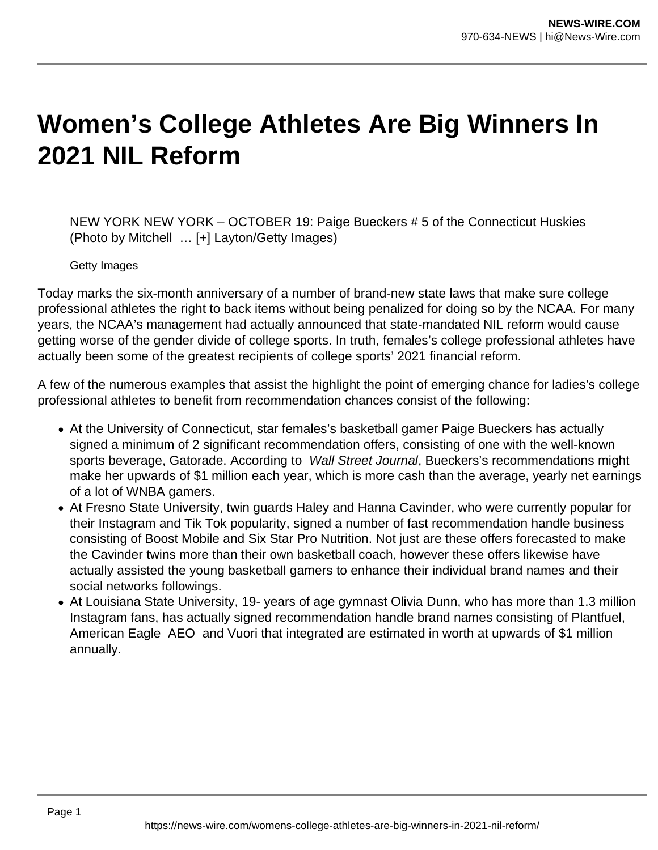## **Women's College Athletes Are Big Winners In 2021 NIL Reform**

NEW YORK NEW YORK – OCTOBER 19: Paige Bueckers # 5 of the Connecticut Huskies (Photo by Mitchell … [+] Layton/Getty Images)

Getty Images

Today marks the six-month anniversary of a number of brand-new state laws that make sure college professional athletes the right to back items without being penalized for doing so by the NCAA. For many years, the NCAA's management had actually announced that state-mandated NIL reform would cause getting worse of the gender divide of college sports. In truth, females's college professional athletes have actually been some of the greatest recipients of college sports' 2021 financial reform.

A few of the numerous examples that assist the highlight the point of emerging chance for ladies's college professional athletes to benefit from recommendation chances consist of the following:

- At the University of Connecticut, star females's basketball gamer Paige Bueckers has actually signed a minimum of 2 significant recommendation offers, consisting of one with the well-known sports beverage, Gatorade. According to Wall Street Journal, Bueckers's recommendations might make her upwards of \$1 million each year, which is more cash than the average, yearly net earnings of a lot of WNBA gamers.
- At Fresno State University, twin guards Haley and Hanna Cavinder, who were currently popular for their Instagram and Tik Tok popularity, signed a number of fast recommendation handle business consisting of Boost Mobile and Six Star Pro Nutrition. Not just are these offers forecasted to make the Cavinder twins more than their own basketball coach, however these offers likewise have actually assisted the young basketball gamers to enhance their individual brand names and their social networks followings.
- At Louisiana State University, 19- years of age gymnast Olivia Dunn, who has more than 1.3 million Instagram fans, has actually signed recommendation handle brand names consisting of Plantfuel, American Eagle AEO and Vuori that integrated are estimated in worth at upwards of \$1 million annually.